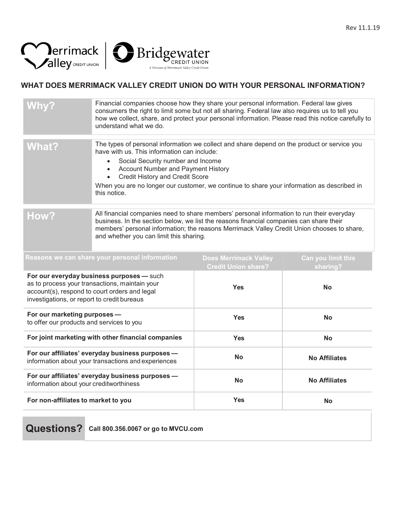



## **WHAT DOES MERRIMACK VALLEY CREDIT UNION DO WITH YOUR PERSONAL INFORMATION?**

| <b>Why?</b>                                                                                                                                                                                 | Financial companies choose how they share your personal information. Federal law gives<br>consumers the right to limit some but not all sharing. Federal law also requires us to tell you<br>how we collect, share, and protect your personal information. Please read this notice carefully to<br>understand what we do.                                                                        |                                                            |                                |
|---------------------------------------------------------------------------------------------------------------------------------------------------------------------------------------------|--------------------------------------------------------------------------------------------------------------------------------------------------------------------------------------------------------------------------------------------------------------------------------------------------------------------------------------------------------------------------------------------------|------------------------------------------------------------|--------------------------------|
| <b>What?</b>                                                                                                                                                                                | The types of personal information we collect and share depend on the product or service you<br>have with us. This information can include:<br>Social Security number and Income<br>Account Number and Payment History<br>$\bullet$<br>Credit History and Credit Score<br>$\bullet$<br>When you are no longer our customer, we continue to share your information as described in<br>this notice. |                                                            |                                |
| How?                                                                                                                                                                                        | All financial companies need to share members' personal information to run their everyday<br>business. In the section below, we list the reasons financial companies can share their<br>members' personal information; the reasons Merrimack Valley Credit Union chooses to share,<br>and whether you can limit this sharing.                                                                    |                                                            |                                |
|                                                                                                                                                                                             | Reasons we can share your personal information                                                                                                                                                                                                                                                                                                                                                   | <b>Does Merrimack Valley</b><br><b>Credit Union share?</b> | Can you limit this<br>sharing? |
| For our everyday business purposes - such<br>as to process your transactions, maintain your<br>account(s), respond to court orders and legal<br>investigations, or report to credit bureaus |                                                                                                                                                                                                                                                                                                                                                                                                  | <b>Yes</b>                                                 | <b>No</b>                      |
| For our marketing purposes -<br>to offer our products and services to you                                                                                                                   |                                                                                                                                                                                                                                                                                                                                                                                                  | <b>Yes</b>                                                 | <b>No</b>                      |
| For joint marketing with other financial companies                                                                                                                                          |                                                                                                                                                                                                                                                                                                                                                                                                  | <b>Yes</b>                                                 | <b>No</b>                      |
| For our affiliates' everyday business purposes -<br>information about your transactions and experiences                                                                                     |                                                                                                                                                                                                                                                                                                                                                                                                  | <b>No</b>                                                  | <b>No Affiliates</b>           |
| For our affiliates' everyday business purposes -<br>information about your creditworthiness                                                                                                 |                                                                                                                                                                                                                                                                                                                                                                                                  | <b>No</b>                                                  | <b>No Affiliates</b>           |
| For non-affiliates to market to you                                                                                                                                                         |                                                                                                                                                                                                                                                                                                                                                                                                  | <b>Yes</b>                                                 | <b>No</b>                      |

**Questions? Call 800.356.0067 or go to MVCU.com**